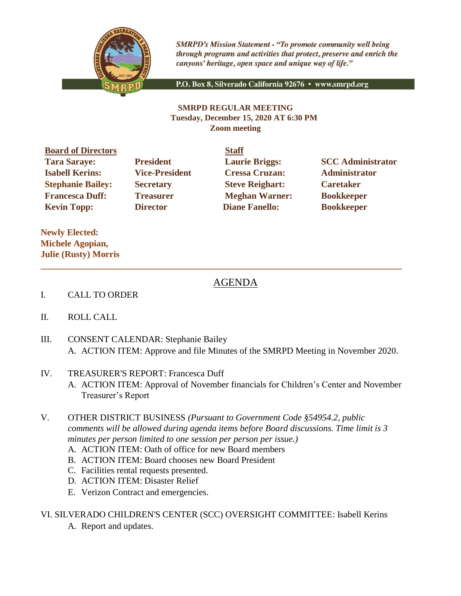

**SMRPD's Mission Statement - "To promote community well being** through programs and activities that protect, preserve and enrich the canyons' heritage, open space and unique way of life."

P.O. Box 8, Silverado California 92676 · www.smrpd.org

## **SMRPD REGULAR MEETING Tuesday, December 15, 2020 AT 6:30 PM Zoom meeting**

**Board of Directors Staff Tara Saraye: President Laurie Briggs: SCC Administrator Isabell Kerins: Vice-President Cressa Cruzan: Administrator Stephanie Bailey: Secretary Steve Reighart: Caretaker Francesca Duff: Treasurer Meghan Warner: Bookkeeper Kevin Topp: Director Diane Fanello: Bookkeeper** 

**Newly Elected: Michele Agopian, Julie (Rusty) Morris**

## AGENDA

- I. CALL TO ORDER
- II. ROLL CALL
- III. CONSENT CALENDAR: Stephanie Bailey A. ACTION ITEM: Approve and file Minutes of the SMRPD Meeting in November 2020.

**\_\_\_\_\_\_\_\_\_\_\_\_\_\_\_\_\_\_\_\_\_\_\_\_\_\_\_\_\_\_\_\_\_\_\_\_\_\_\_\_\_\_\_\_\_\_\_\_\_\_\_\_\_\_\_\_\_\_\_\_\_\_\_\_\_\_\_\_\_\_\_\_\_\_\_\_\_\_\_\_**

- IV. TREASURER'S REPORT: Francesca Duff
	- A. ACTION ITEM: Approval of November financials for Children's Center and November Treasurer's Report
- V. OTHER DISTRICT BUSINESS *(Pursuant to Government Code §54954.2, public comments will be allowed during agenda items before Board discussions. Time limit is 3 minutes per person limited to one session per person per issue.)*
	- A. ACTION ITEM: Oath of office for new Board members
	- B. ACTION ITEM: Board chooses new Board President
	- C. Facilities rental requests presented.
	- D. ACTION ITEM: Disaster Relief
	- E. Verizon Contract and emergencies.

VI. SILVERADO CHILDREN'S CENTER (SCC) OVERSIGHT COMMITTEE: Isabell Kerins

A. Report and updates.